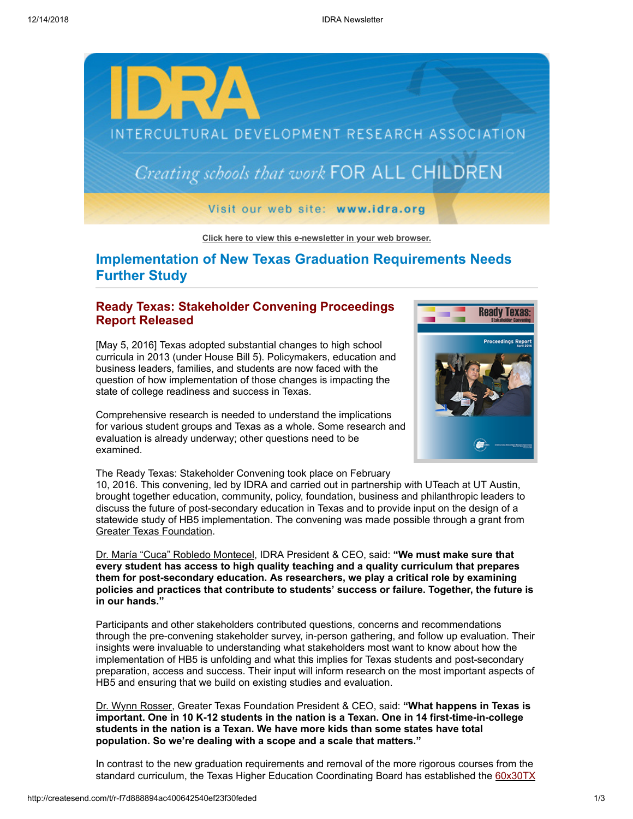

**[Click here to view this e-newsletter in your web browser.](http://newsletter.impulsedevelopment.com/t/r-e-sodytk-l-r/)**

# **Implementation of New Texas Graduation Requirements Needs Further Study**

### **Ready Texas: Stakeholder Convening Proceedings Report Released**

[May 5, 2016] Texas adopted substantial changes to high school curricula in 2013 (under House Bill 5). Policymakers, education and business leaders, families, and students are now faced with the question of how implementation of those changes is impacting the state of college readiness and success in Texas.

Comprehensive research is needed to understand the implications for various student groups and Texas as a whole. Some research and evaluation is already underway; other questions need to be examined.

The Ready Texas: Stakeholder Convening took place on February

10, 2016. This convening, led by IDRA and carried out in partnership with UTeach at UT Austin, brought together education, community, policy, foundation, business and philanthropic leaders to discuss the future of post-secondary education in Texas and to provide input on the design of a statewide study of HB5 implementation. The convening was made possible through a grant from [Greater Texas Foundation](http://idra.createsend1.com/t/r-l-sodytk-l-d/).

[Dr. María "Cuca" Robledo Montecel](http://idra.createsend1.com/t/r-l-sodytk-l-h/), IDRA President & CEO, said: **"We must make sure that every student has access to high quality teaching and a quality curriculum that prepares them for post-secondary education. As researchers, we play a critical role by examining policies and practices that contribute to students' success or failure. Together, the future is in our hands."**

Participants and other stakeholders contributed questions, concerns and recommendations through the pre-convening stakeholder survey, in-person gathering, and follow up evaluation. Their insights were invaluable to understanding what stakeholders most want to know about how the implementation of HB5 is unfolding and what this implies for Texas students and post-secondary preparation, access and success. Their input will inform research on the most important aspects of HB5 and ensuring that we build on existing studies and evaluation.

[Dr. Wynn Rosser](http://idra.createsend1.com/t/r-l-sodytk-l-k/), Greater Texas Foundation President & CEO, said: **"What happens in Texas is important. One in 10 K-12 students in the nation is a Texan. One in 14 first-time-in-college students in the nation is a Texan. We have more kids than some states have total population. So we're dealing with a scope and a scale that matters."**

In contrast to the new graduation requirements and removal of the more rigorous courses from the [standard curriculum, the Texas Higher Education Coordinating Board has established the 60x30TX](http://idra.createsend1.com/t/r-l-sodytk-l-u/)

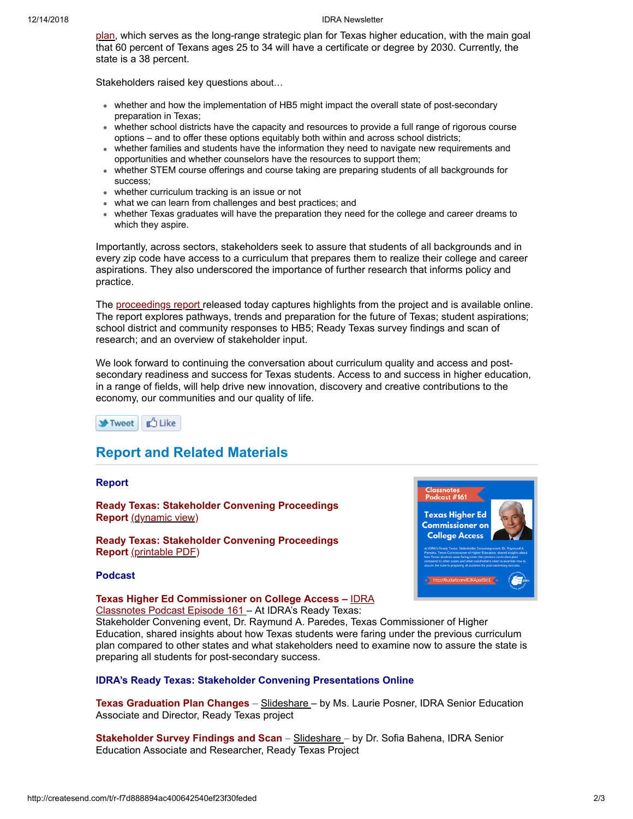#### 12/14/2018 IDRA Newsletter

[plan, which serves as the long-range strategic plan for Texas higher education, with the main goal](http://idra.createsend1.com/t/r-l-sodytk-l-u/) that 60 percent of Texans ages 25 to 34 will have a certificate or degree by 2030. Currently, the state is a 38 percent.

Stakeholders raised key questions about…

- whether and how the implementation of HB5 might impact the overall state of post-secondary preparation in Texas;
- whether school districts have the capacity and resources to provide a full range of rigorous course options – and to offer these options equitably both within and across school districts;
- whether families and students have the information they need to navigate new requirements and opportunities and whether counselors have the resources to support them;
- whether STEM course offerings and course taking are preparing students of all backgrounds for success;
- whether curriculum tracking is an issue or not
- what we can learn from challenges and best practices; and
- whether Texas graduates will have the preparation they need for the college and career dreams to which they aspire.

Importantly, across sectors, stakeholders seek to assure that students of all backgrounds and in every zip code have access to a curriculum that prepares them to realize their college and career aspirations. They also underscored the importance of further research that informs policy and practice.

The [proceedings report](http://idra.createsend1.com/t/r-l-sodytk-l-m/) released today captures highlights from the project and is available online. The report explores pathways, trends and preparation for the future of Texas; student aspirations; school district and community responses to HB5; Ready Texas survey findings and scan of research; and an overview of stakeholder input.

We look forward to continuing the conversation about curriculum quality and access and postsecondary readiness and success for Texas students. Access to and success in higher education, in a range of fields, will help drive new innovation, discovery and creative contributions to the economy, our communities and our quality of life.

> dcast  $#161$ **Texas Higher Ed Commissioner or College Access**



## **Report and Related Materials**

#### **Report**

**Podcast**

**Ready Texas: Stakeholder Convening Proceedings Report** [\(dynamic view\)](http://idra.createsend1.com/t/r-l-sodytk-l-q/)

**Ready Texas: Stakeholder Convening Proceedings Report** [\(printable PDF\)](http://idra.createsend1.com/t/r-l-sodytk-l-a/)



## **Texas Higher Ed Commissioner on College Access –** IDRA

[Classnotes Podcast Episode 161 – At IDRA's Ready Texas:](http://idra.createsend1.com/t/r-l-sodytk-l-f/)

Stakeholder Convening event, Dr. Raymund A. Paredes, Texas Commissioner of Higher Education, shared insights about how Texas students were faring under the previous curriculum plan compared to other states and what stakeholders need to examine now to assure the state is preparing all students for post-secondary success.

#### **IDRA's Ready Texas: Stakeholder Convening Presentations Online**

**Texas Graduation Plan Changes** – [Slideshare](http://idra.createsend1.com/t/r-l-sodytk-l-z/) – by Ms. Laurie Posner, IDRA Senior Education Associate and Director, Ready Texas project

**Stakeholder Survey Findings and Scan** – [Slideshare –](http://idra.createsend1.com/t/r-l-sodytk-l-v/) by Dr. Sofia Bahena, IDRA Senior Education Associate and Researcher, Ready Texas Project